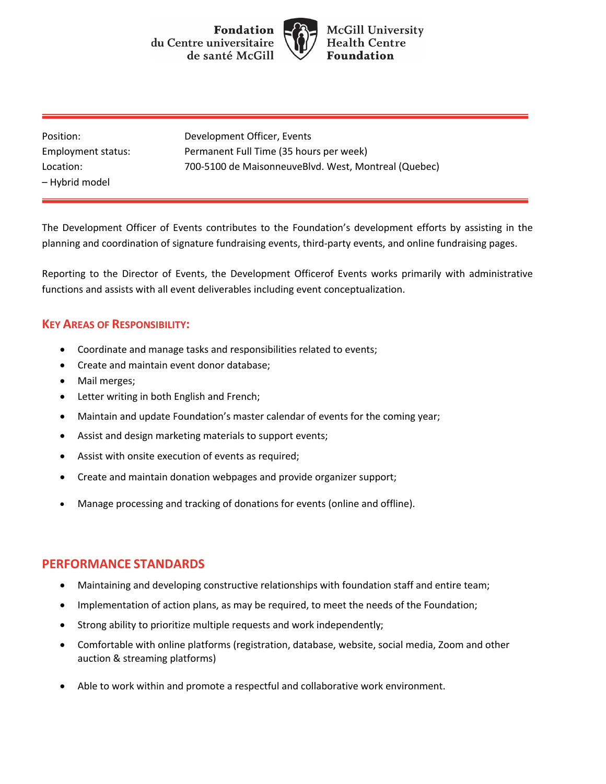**Fondation** du Centre universitaire de santé McGill



**McGill University Health Centre Foundation** 

– Hybrid model

Position: Development Officer, Events Employment status: Permanent Full Time (35 hours per week) Location: 700-5100 de MaisonneuveBlvd. West, Montreal (Quebec)

The Development Officer of Events contributes to the Foundation's development efforts by assisting in the planning and coordination of signature fundraising events, third-party events, and online fundraising pages.

Reporting to the Director of Events, the Development Officerof Events works primarily with administrative functions and assists with all event deliverables including event conceptualization.

## **KEY AREAS OF RESPONSIBILITY:**

- Coordinate and manage tasks and responsibilities related to events;
- Create and maintain event donor database;
- Mail merges;
- Letter writing in both English and French;
- Maintain and update Foundation's master calendar of events for the coming year;
- Assist and design marketing materials to support events;
- Assist with onsite execution of events as required;
- Create and maintain donation webpages and provide organizer support;
- Manage processing and tracking of donations for events (online and offline).

## **PERFORMANCE STANDARDS**

- Maintaining and developing constructive relationships with foundation staff and entire team;
- Implementation of action plans, as may be required, to meet the needs of the Foundation;
- Strong ability to prioritize multiple requests and work independently;
- Comfortable with online platforms (registration, database, website, social media, Zoom and other auction & streaming platforms)
- Able to work within and promote a respectful and collaborative work environment.